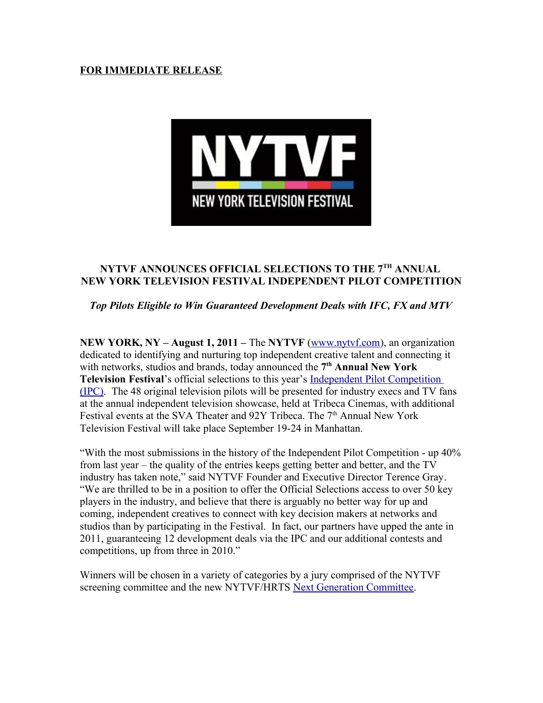### **FOR IMMEDIATE RELEASE**



# **NYTVF ANNOUNCES OFFICIAL SELECTIONS TO THE 7TH ANNUAL NEW YORK TELEVISION FESTIVAL INDEPENDENT PILOT COMPETITION**

# *Top Pilots Eligible to Win Guaranteed Development Deals with IFC, FX and MTV*

**NEW YORK, NY – August 1, 2011 –** The **NYTVF** (www.nytvf.com), an organization dedicated to identifying and nurturing top independent creative talent and connecting it with networks, studios and brands, today announced the **7 th Annual New York Television Festival**'s official selections to this year's [Independent Pilot Competition](http://nytvf.com/2011_ipc.htm) [\(IPC\).](http://nytvf.com/2011_ipc.htm) The 48 original television pilots will be presented for industry execs and TV fans at the annual independent television showcase, held at Tribeca Cinemas, with additional Festival events at the SVA Theater and 92Y Tribeca. The 7<sup>th</sup> Annual New York Television Festival will take place September 19-24 in Manhattan.

"With the most submissions in the history of the Independent Pilot Competition - up 40% from last year – the quality of the entries keeps getting better and better, and the TV industry has taken note," said NYTVF Founder and Executive Director Terence Gray. "We are thrilled to be in a position to offer the Official Selections access to over 50 key players in the industry, and believe that there is arguably no better way for up and coming, independent creatives to connect with key decision makers at networks and studios than by participating in the Festival. In fact, our partners have upped the ante in 2011, guaranteeing 12 development deals via the IPC and our additional contests and competitions, up from three in 2010."

Winners will be chosen in a variety of categories by a jury comprised of the NYTVF screening committee and the new NYTVF/HRTS [Next Generation Committee.](http://nytvf.com/newsletter/newsletter2011-5-12.html)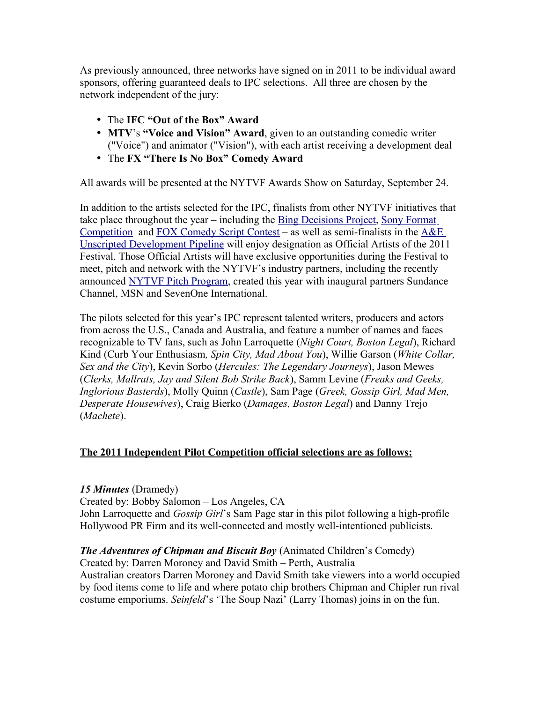As previously announced, three networks have signed on in 2011 to be individual award sponsors, offering guaranteed deals to IPC selections. All three are chosen by the network independent of the jury:

- The **IFC "Out of the Box" Award**
- **MTV**'s **"Voice and Vision" Award**, given to an outstanding comedic writer ("Voice") and animator ("Vision"), with each artist receiving a development deal
- The **FX "There Is No Box" Comedy Award**

All awards will be presented at the NYTVF Awards Show on Saturday, September 24.

In addition to the artists selected for the IPC, finalists from other NYTVF initiatives that take place throughout the year – including the [Bing Decisions Project,](http://nytvf.com/2010_bing.htm) [Sony Format](http://nytvf.com/2010_sony.htm) [Competition](http://nytvf.com/2010_sony.htm) and [FOX Comedy Script Contest](http://nytvf.com/2011_fox_contest.htm) – as well as semi-finalists in the [A&E](http://nytvf.com/2011_ae_pipeline.htm) [Unscripted Development Pipeline](http://nytvf.com/2011_ae_pipeline.htm) will enjoy designation as Official Artists of the 2011 Festival. Those Official Artists will have exclusive opportunities during the Festival to meet, pitch and network with the NYTVF's industry partners, including the recently announced [NYTVF Pitch Program,](http://nytvf.com/documents/NYTVF2011_PR06-22-11.pdf) created this year with inaugural partners Sundance Channel, MSN and SevenOne International.

The pilots selected for this year's IPC represent talented writers, producers and actors from across the U.S., Canada and Australia, and feature a number of names and faces recognizable to TV fans, such as John Larroquette (*Night Court, Boston Legal*), Richard Kind (Curb Your Enthusiasm*, Spin City, Mad About You*), Willie Garson (*White Collar, Sex and the City*), Kevin Sorbo (*Hercules: The Legendary Journeys*), Jason Mewes (*Clerks, Mallrats, Jay and Silent Bob Strike Back*), Samm Levine (*Freaks and Geeks, Inglorious Basterds*), Molly Quinn (*Castle*), Sam Page (*Greek, Gossip Girl, Mad Men, Desperate Housewives*), Craig Bierko (*Damages, Boston Legal*) and Danny Trejo (*Machete*).

# **The 2011 Independent Pilot Competition official selections are as follows:**

# *15 Minutes* (Dramedy)

Created by: Bobby Salomon – Los Angeles, CA John Larroquette and *Gossip Girl*'s Sam Page star in this pilot following a high-profile Hollywood PR Firm and its well-connected and mostly well-intentioned publicists.

# *The Adventures of Chipman and Biscuit Boy* (Animated Children's Comedy)

Created by: Darren Moroney and David Smith – Perth, Australia Australian creators Darren Moroney and David Smith take viewers into a world occupied by food items come to life and where potato chip brothers Chipman and Chipler run rival costume emporiums. *Seinfeld*'s 'The Soup Nazi' (Larry Thomas) joins in on the fun.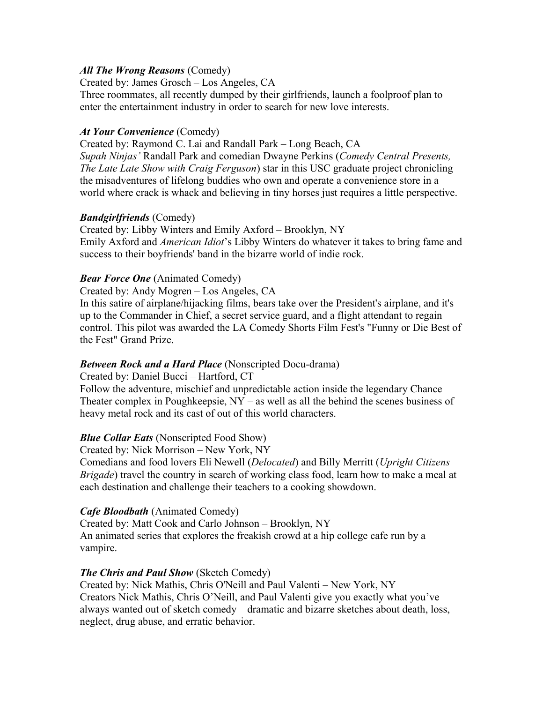### *All The Wrong Reasons* (Comedy)

Created by: James Grosch – Los Angeles, CA

Three roommates, all recently dumped by their girlfriends, launch a foolproof plan to enter the entertainment industry in order to search for new love interests.

### *At Your Convenience* (Comedy)

Created by: Raymond C. Lai and Randall Park – Long Beach, CA *Supah Ninjas'* Randall Park and comedian Dwayne Perkins (*Comedy Central Presents, The Late Late Show with Craig Ferguson*) star in this USC graduate project chronicling the misadventures of lifelong buddies who own and operate a convenience store in a world where crack is whack and believing in tiny horses just requires a little perspective.

# *Bandgirlfriends* (Comedy)

Created by: Libby Winters and Emily Axford – Brooklyn, NY Emily Axford and *American Idiot*'s Libby Winters do whatever it takes to bring fame and success to their boyfriends' band in the bizarre world of indie rock.

# *Bear Force One* (Animated Comedy)

Created by: Andy Mogren – Los Angeles, CA

In this satire of airplane/hijacking films, bears take over the President's airplane, and it's up to the Commander in Chief, a secret service guard, and a flight attendant to regain control. This pilot was awarded the LA Comedy Shorts Film Fest's "Funny or Die Best of the Fest" Grand Prize.

# *Between Rock and a Hard Place* (Nonscripted Docu-drama)

Created by: Daniel Bucci – Hartford, CT Follow the adventure, mischief and unpredictable action inside the legendary Chance Theater complex in Poughkeepsie,  $NY - as$  well as all the behind the scenes business of heavy metal rock and its cast of out of this world characters.

# *Blue Collar Eats* (Nonscripted Food Show)

Created by: Nick Morrison – New York, NY

Comedians and food lovers Eli Newell (*Delocated*) and Billy Merritt (*Upright Citizens Brigade*) travel the country in search of working class food, learn how to make a meal at each destination and challenge their teachers to a cooking showdown.

# *Cafe Bloodbath* (Animated Comedy)

Created by: Matt Cook and Carlo Johnson – Brooklyn, NY An animated series that explores the freakish crowd at a hip college cafe run by a vampire.

# *The Chris and Paul Show* (Sketch Comedy)

Created by: Nick Mathis, Chris O'Neill and Paul Valenti – New York, NY Creators Nick Mathis, Chris O'Neill, and Paul Valenti give you exactly what you've always wanted out of sketch comedy – dramatic and bizarre sketches about death, loss, neglect, drug abuse, and erratic behavior.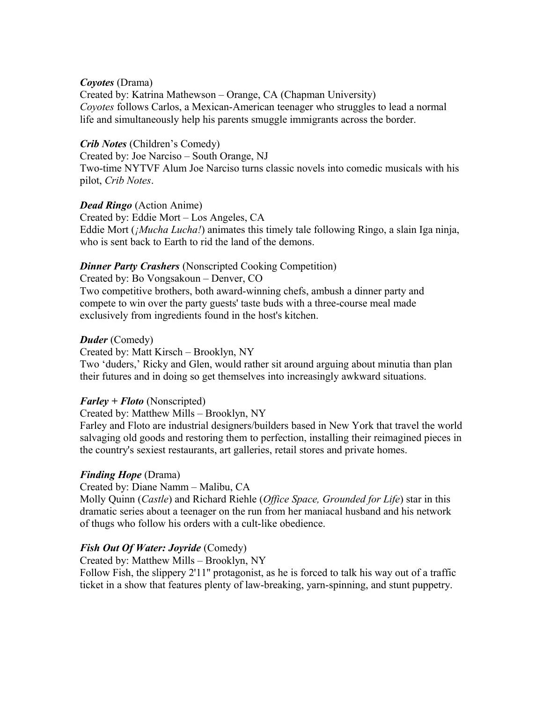#### *Coyotes* (Drama)

Created by: Katrina Mathewson – Orange, CA (Chapman University) *Coyotes* follows Carlos, a Mexican-American teenager who struggles to lead a normal life and simultaneously help his parents smuggle immigrants across the border.

#### *Crib Notes* (Children's Comedy)

Created by: Joe Narciso – South Orange, NJ Two-time NYTVF Alum Joe Narciso turns classic novels into comedic musicals with his pilot, *Crib Notes*.

#### *Dead Ringo* (Action Anime)

Created by: Eddie Mort – Los Angeles, CA Eddie Mort (*¡Mucha Lucha!*) animates this timely tale following Ringo, a slain Iga ninja, who is sent back to Earth to rid the land of the demons.

#### *Dinner Party Crashers* (Nonscripted Cooking Competition)

Created by: Bo Vongsakoun – Denver, CO Two competitive brothers, both award-winning chefs, ambush a dinner party and compete to win over the party guests' taste buds with a three-course meal made exclusively from ingredients found in the host's kitchen.

#### *Duder* (Comedy)

Created by: Matt Kirsch – Brooklyn, NY

Two 'duders,' Ricky and Glen, would rather sit around arguing about minutia than plan their futures and in doing so get themselves into increasingly awkward situations.

#### *Farley + Floto* (Nonscripted)

Created by: Matthew Mills – Brooklyn, NY

Farley and Floto are industrial designers/builders based in New York that travel the world salvaging old goods and restoring them to perfection, installing their reimagined pieces in the country's sexiest restaurants, art galleries, retail stores and private homes.

#### *Finding Hope* (Drama)

Created by: Diane Namm – Malibu, CA

Molly Quinn (*Castle*) and Richard Riehle (*Office Space, Grounded for Life*) star in this dramatic series about a teenager on the run from her maniacal husband and his network of thugs who follow his orders with a cult-like obedience.

#### *Fish Out Of Water: Joyride* (Comedy)

Created by: Matthew Mills – Brooklyn, NY

Follow Fish, the slippery 2'11'' protagonist, as he is forced to talk his way out of a traffic ticket in a show that features plenty of law-breaking, yarn-spinning, and stunt puppetry.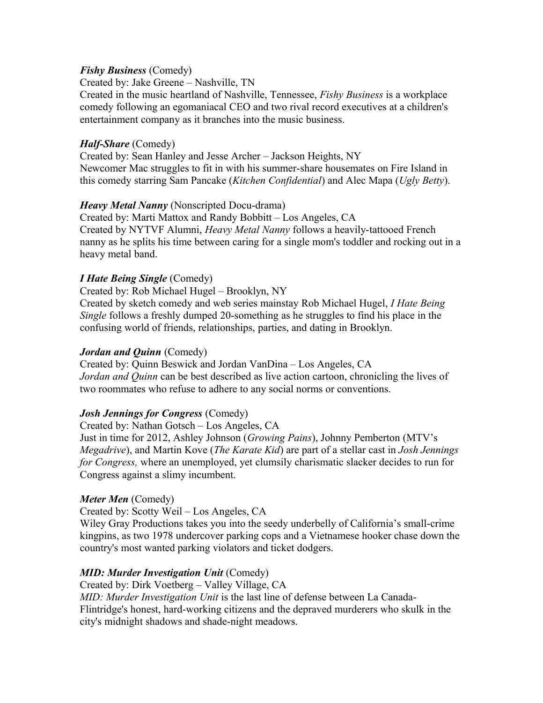### *Fishy Business* (Comedy)

Created by: Jake Greene – Nashville, TN

Created in the music heartland of Nashville, Tennessee, *Fishy Business* is a workplace comedy following an egomaniacal CEO and two rival record executives at a children's entertainment company as it branches into the music business.

### *Half-Share* (Comedy)

Created by: Sean Hanley and Jesse Archer – Jackson Heights, NY Newcomer Mac struggles to fit in with his summer-share housemates on Fire Island in this comedy starring Sam Pancake (*Kitchen Confidential*) and Alec Mapa (*Ugly Betty*).

### *Heavy Metal Nanny* (Nonscripted Docu-drama)

Created by: Marti Mattox and Randy Bobbitt – Los Angeles, CA Created by NYTVF Alumni, *Heavy Metal Nanny* follows a heavily-tattooed French nanny as he splits his time between caring for a single mom's toddler and rocking out in a heavy metal band.

### *I Hate Being Single* (Comedy)

Created by: Rob Michael Hugel – Brooklyn, NY

Created by sketch comedy and web series mainstay Rob Michael Hugel, *I Hate Being Single* follows a freshly dumped 20-something as he struggles to find his place in the confusing world of friends, relationships, parties, and dating in Brooklyn.

#### *Jordan and Quinn* (Comedy)

Created by: Quinn Beswick and Jordan VanDina – Los Angeles, CA *Jordan and Quinn* can be best described as live action cartoon, chronicling the lives of two roommates who refuse to adhere to any social norms or conventions.

# *Josh Jennings for Congress* (Comedy)

Created by: Nathan Gotsch – Los Angeles, CA

Just in time for 2012, Ashley Johnson (*Growing Pains*), Johnny Pemberton (MTV's *Megadrive*), and Martin Kove (*The Karate Kid*) are part of a stellar cast in *Josh Jennings for Congress,* where an unemployed, yet clumsily charismatic slacker decides to run for Congress against a slimy incumbent.

#### *Meter Men* (Comedy)

Created by: Scotty Weil – Los Angeles, CA

Wiley Gray Productions takes you into the seedy underbelly of California's small-crime kingpins, as two 1978 undercover parking cops and a Vietnamese hooker chase down the country's most wanted parking violators and ticket dodgers.

# *MID: Murder Investigation Unit* (Comedy)

Created by: Dirk Voetberg – Valley Village, CA

*MID: Murder Investigation Unit* is the last line of defense between La Canada-Flintridge's honest, hard-working citizens and the depraved murderers who skulk in the city's midnight shadows and shade-night meadows.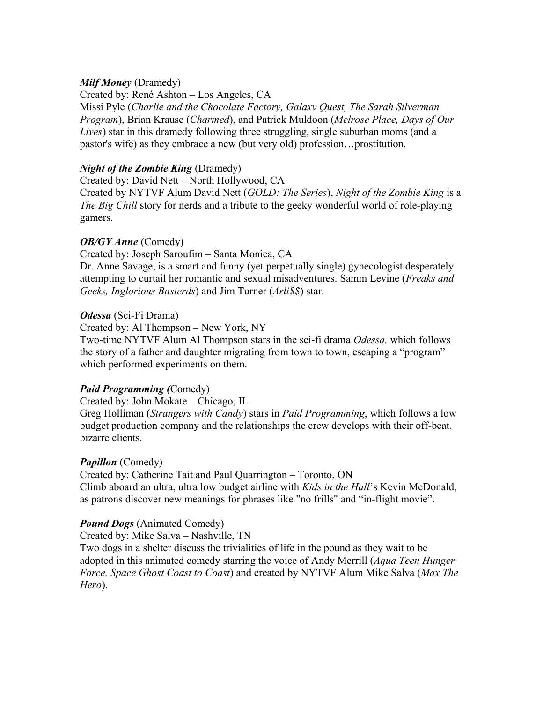### *Milf Money* (Dramedy)

Created by: René Ashton – Los Angeles, CA Missi Pyle (*Charlie and the Chocolate Factory, Galaxy Quest, The Sarah Silverman Program*), Brian Krause (*Charmed*), and Patrick Muldoon (*Melrose Place, Days of Our Lives*) star in this dramedy following three struggling, single suburban moms (and a pastor's wife) as they embrace a new (but very old) profession…prostitution.

### *Night of the Zombie King* (Dramedy)

Created by: David Nett – North Hollywood, CA Created by NYTVF Alum David Nett (*GOLD: The Series*), *Night of the Zombie King* is a *The Big Chill* story for nerds and a tribute to the geeky wonderful world of role-playing gamers.

### *OB/GY Anne* (Comedy)

Created by: Joseph Saroufim – Santa Monica, CA

Dr. Anne Savage, is a smart and funny (yet perpetually single) gynecologist desperately attempting to curtail her romantic and sexual misadventures. Samm Levine (*Freaks and Geeks, Inglorious Basterds*) and Jim Turner (*Arli\$\$*) star.

### *Odessa* (Sci-Fi Drama)

Created by: Al Thompson – New York, NY

Two-time NYTVF Alum Al Thompson stars in the sci-fi drama *Odessa,* which follows the story of a father and daughter migrating from town to town, escaping a "program" which performed experiments on them.

# *Paid Programming (*Comedy)

Created by: John Mokate – Chicago, IL

Greg Holliman (*Strangers with Candy*) stars in *Paid Programming*, which follows a low budget production company and the relationships the crew develops with their off-beat, bizarre clients.

# *Papillon* (Comedy)

Created by: Catherine Tait and Paul Quarrington – Toronto, ON Climb aboard an ultra, ultra low budget airline with *Kids in the Hall*'s Kevin McDonald, as patrons discover new meanings for phrases like "no frills" and "in-flight movie".

# *Pound Dogs* (Animated Comedy)

Created by: Mike Salva – Nashville, TN

Two dogs in a shelter discuss the trivialities of life in the pound as they wait to be adopted in this animated comedy starring the voice of Andy Merrill (*Aqua Teen Hunger Force, Space Ghost Coast to Coast*) and created by NYTVF Alum Mike Salva (*Max The Hero*).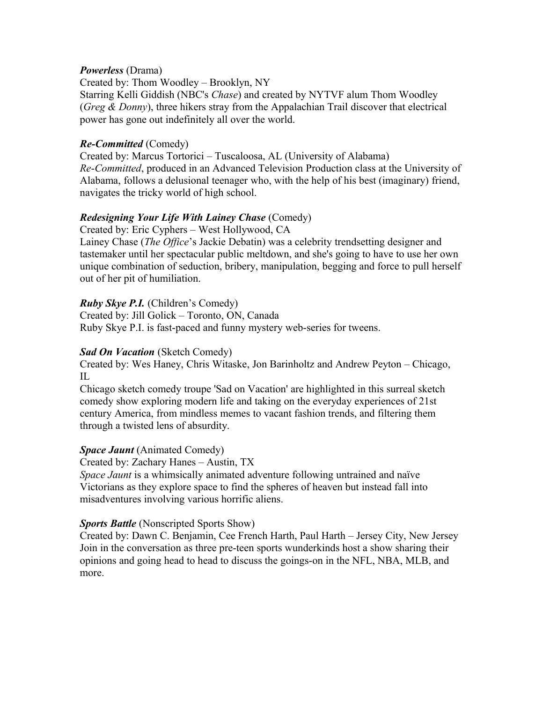#### *Powerless* (Drama)

Created by: Thom Woodley – Brooklyn, NY

Starring Kelli Giddish (NBC's *Chase*) and created by NYTVF alum Thom Woodley (*Greg & Donny*), three hikers stray from the Appalachian Trail discover that electrical power has gone out indefinitely all over the world.

### *Re-Committed* (Comedy)

Created by: Marcus Tortorici – Tuscaloosa, AL (University of Alabama) *Re*-*Committed*, produced in an Advanced Television Production class at the University of Alabama, follows a delusional teenager who, with the help of his best (imaginary) friend, navigates the tricky world of high school.

# *Redesigning Your Life With Lainey Chase* (Comedy)

Created by: Eric Cyphers – West Hollywood, CA

Lainey Chase (*The Office*'s Jackie Debatin) was a celebrity trendsetting designer and tastemaker until her spectacular public meltdown, and she's going to have to use her own unique combination of seduction, bribery, manipulation, begging and force to pull herself out of her pit of humiliation.

# *Ruby Skye P.I.* (Children's Comedy)

Created by: Jill Golick – Toronto, ON, Canada Ruby Skye P.I. is fast-paced and funny mystery web-series for tweens.

#### *Sad On Vacation* (Sketch Comedy)

Created by: Wes Haney, Chris Witaske, Jon Barinholtz and Andrew Peyton – Chicago, IL

Chicago sketch comedy troupe 'Sad on Vacation' are highlighted in this surreal sketch comedy show exploring modern life and taking on the everyday experiences of 21st century America, from mindless memes to vacant fashion trends, and filtering them through a twisted lens of absurdity.

#### *Space Jaunt* (Animated Comedy)

Created by: Zachary Hanes – Austin, TX

*Space Jaunt* is a whimsically animated adventure following untrained and naïve Victorians as they explore space to find the spheres of heaven but instead fall into misadventures involving various horrific aliens.

#### *Sports Battle* (Nonscripted Sports Show)

Created by: Dawn C. Benjamin, Cee French Harth, Paul Harth – Jersey City, New Jersey Join in the conversation as three pre-teen sports wunderkinds host a show sharing their opinions and going head to head to discuss the goings-on in the NFL, NBA, MLB, and more.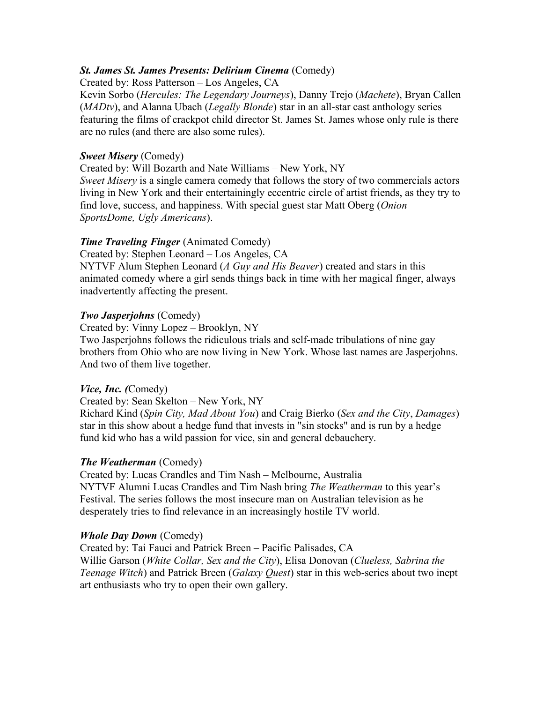### *St. James St. James Presents: Delirium Cinema* (Comedy)

Created by: Ross Patterson – Los Angeles, CA

Kevin Sorbo (*Hercules: The Legendary Journeys*), Danny Trejo (*Machete*), Bryan Callen (*MADtv*), and Alanna Ubach (*Legally Blonde*) star in an all-star cast anthology series featuring the films of crackpot child director St. James St. James whose only rule is there are no rules (and there are also some rules).

### *Sweet Misery* (Comedy)

Created by: Will Bozarth and Nate Williams – New York, NY

*Sweet Misery* is a single camera comedy that follows the story of two commercials actors living in New York and their entertainingly eccentric circle of artist friends, as they try to find love, success, and happiness. With special guest star Matt Oberg (*Onion SportsDome, Ugly Americans*).

# *Time Traveling Finger* (Animated Comedy)

Created by: Stephen Leonard – Los Angeles, CA

NYTVF Alum Stephen Leonard (*A Guy and His Beaver*) created and stars in this animated comedy where a girl sends things back in time with her magical finger, always inadvertently affecting the present.

### *Two Jasperjohns* (Comedy)

Created by: Vinny Lopez – Brooklyn, NY

Two Jasperjohns follows the ridiculous trials and self-made tribulations of nine gay brothers from Ohio who are now living in New York. Whose last names are Jasperjohns. And two of them live together.

#### *Vice, Inc. (*Comedy)

Created by: Sean Skelton – New York, NY

Richard Kind (*Spin City, Mad About You*) and Craig Bierko (*Sex and the City*, *Damages*) star in this show about a hedge fund that invests in "sin stocks" and is run by a hedge fund kid who has a wild passion for vice, sin and general debauchery.

# *The Weatherman* (Comedy)

Created by: Lucas Crandles and Tim Nash – Melbourne, Australia NYTVF Alumni Lucas Crandles and Tim Nash bring *The Weatherman* to this year's Festival. The series follows the most insecure man on Australian television as he desperately tries to find relevance in an increasingly hostile TV world.

#### *Whole Day Down* (Comedy)

Created by: Tai Fauci and Patrick Breen – Pacific Palisades, CA Willie Garson (*White Collar, Sex and the City*), Elisa Donovan (*Clueless, Sabrina the Teenage Witch*) and Patrick Breen (*Galaxy Quest*) star in this web-series about two inept art enthusiasts who try to open their own gallery.